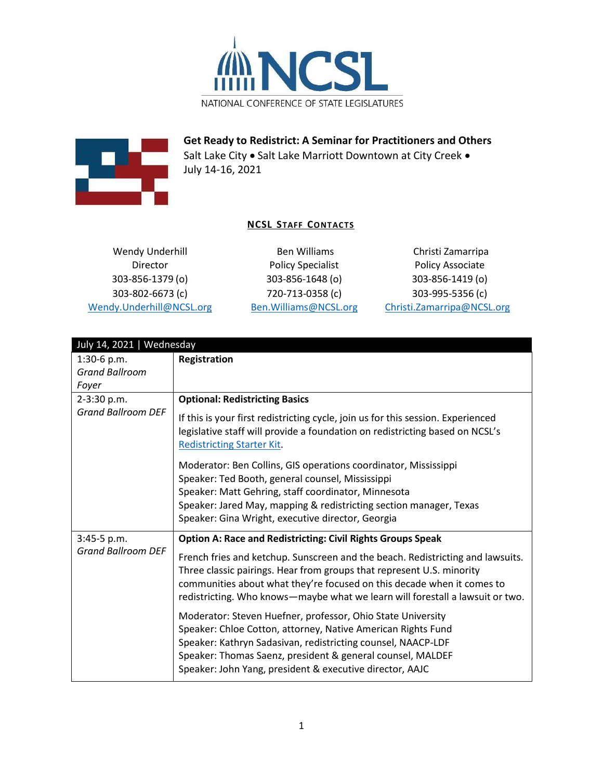



**Get Ready to Redistrict: A Seminar for Practitioners and Others** Salt Lake City • Salt Lake Marriott Downtown at City Creek • July 14-16, 2021

## **NCSL STAFF CONTACTS**

Wendy Underhill Director 303-856-1379 (o) 303-802-6673 (c) [Wendy.Underhill@NCSL.org](mailto:Wendy.Underhill@NCSL.org)

Ben Williams Policy Specialist 303-856-1648 (o) 720-713-0358 (c) [Ben.Williams@NCSL.org](mailto:Ben.Williams@NCSL.org)

Christi Zamarripa Policy Associate 303-856-1419 (o) 303-995-5356 (c) [Christi.Zamarripa@NCSL.org](mailto:Christi.Zamarripa@NCSL.org)

| July 14, 2021   Wednesday                                                            |                                                                                                                                                                                                                                                                                                                                                                                          |
|--------------------------------------------------------------------------------------|------------------------------------------------------------------------------------------------------------------------------------------------------------------------------------------------------------------------------------------------------------------------------------------------------------------------------------------------------------------------------------------|
| 1:30-6 p.m.<br><b>Grand Ballroom</b><br>Foyer                                        | Registration                                                                                                                                                                                                                                                                                                                                                                             |
| 2-3:30 p.m.<br><b>Grand Ballroom DEF</b><br>3:45-5 p.m.<br><b>Grand Ballroom DEF</b> | <b>Optional: Redistricting Basics</b><br>If this is your first redistricting cycle, join us for this session. Experienced<br>legislative staff will provide a foundation on redistricting based on NCSL's<br><b>Redistricting Starter Kit.</b>                                                                                                                                           |
|                                                                                      | Moderator: Ben Collins, GIS operations coordinator, Mississippi<br>Speaker: Ted Booth, general counsel, Mississippi<br>Speaker: Matt Gehring, staff coordinator, Minnesota<br>Speaker: Jared May, mapping & redistricting section manager, Texas<br>Speaker: Gina Wright, executive director, Georgia                                                                                    |
|                                                                                      | <b>Option A: Race and Redistricting: Civil Rights Groups Speak</b><br>French fries and ketchup. Sunscreen and the beach. Redistricting and lawsuits.<br>Three classic pairings. Hear from groups that represent U.S. minority<br>communities about what they're focused on this decade when it comes to<br>redistricting. Who knows—maybe what we learn will forestall a lawsuit or two. |
|                                                                                      | Moderator: Steven Huefner, professor, Ohio State University<br>Speaker: Chloe Cotton, attorney, Native American Rights Fund<br>Speaker: Kathryn Sadasivan, redistricting counsel, NAACP-LDF<br>Speaker: Thomas Saenz, president & general counsel, MALDEF<br>Speaker: John Yang, president & executive director, AAJC                                                                    |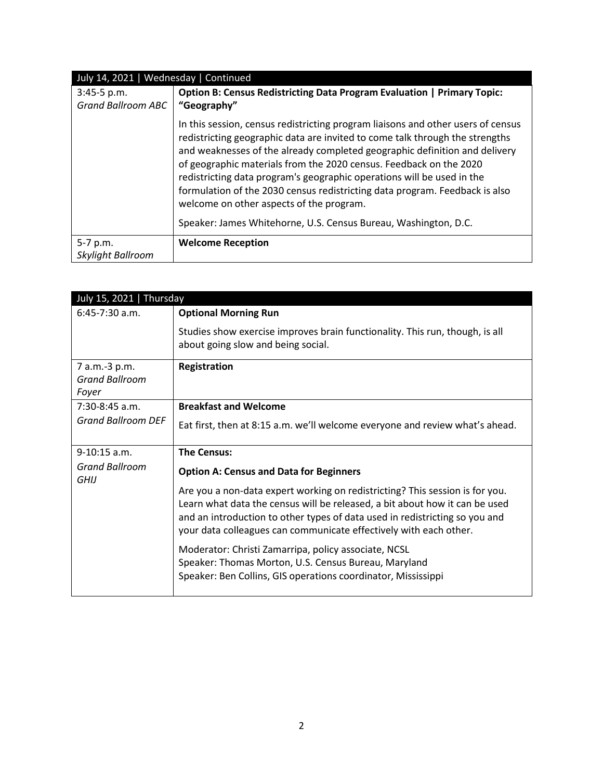| July 14, 2021   Wednesday   Continued      |                                                                                                                                                                                                                                                                                                                                                                                                                                                                                                                                                                                              |
|--------------------------------------------|----------------------------------------------------------------------------------------------------------------------------------------------------------------------------------------------------------------------------------------------------------------------------------------------------------------------------------------------------------------------------------------------------------------------------------------------------------------------------------------------------------------------------------------------------------------------------------------------|
| $3:45-5 p.m.$<br><b>Grand Ballroom ABC</b> | <b>Option B: Census Redistricting Data Program Evaluation   Primary Topic:</b><br>"Geography"                                                                                                                                                                                                                                                                                                                                                                                                                                                                                                |
|                                            | In this session, census redistricting program liaisons and other users of census<br>redistricting geographic data are invited to come talk through the strengths<br>and weaknesses of the already completed geographic definition and delivery<br>of geographic materials from the 2020 census. Feedback on the 2020<br>redistricting data program's geographic operations will be used in the<br>formulation of the 2030 census redistricting data program. Feedback is also<br>welcome on other aspects of the program.<br>Speaker: James Whitehorne, U.S. Census Bureau, Washington, D.C. |
| 5-7 p.m.<br>Skylight Ballroom              | <b>Welcome Reception</b>                                                                                                                                                                                                                                                                                                                                                                                                                                                                                                                                                                     |

| July 15, 2021   Thursday      |                                                                                                                                                                                                                                                                                                                 |
|-------------------------------|-----------------------------------------------------------------------------------------------------------------------------------------------------------------------------------------------------------------------------------------------------------------------------------------------------------------|
| $6:45-7:30$ a.m.              | <b>Optional Morning Run</b>                                                                                                                                                                                                                                                                                     |
|                               | Studies show exercise improves brain functionality. This run, though, is all<br>about going slow and being social.                                                                                                                                                                                              |
| 7 a.m.-3 p.m.                 | Registration                                                                                                                                                                                                                                                                                                    |
| <b>Grand Ballroom</b>         |                                                                                                                                                                                                                                                                                                                 |
| Foyer                         |                                                                                                                                                                                                                                                                                                                 |
| $7:30-8:45$ a.m.              | <b>Breakfast and Welcome</b>                                                                                                                                                                                                                                                                                    |
| <b>Grand Ballroom DEF</b>     | Eat first, then at 8:15 a.m. we'll welcome everyone and review what's ahead.                                                                                                                                                                                                                                    |
| $9-10:15$ a.m.                | <b>The Census:</b>                                                                                                                                                                                                                                                                                              |
| <b>Grand Ballroom</b><br>GHIJ | <b>Option A: Census and Data for Beginners</b>                                                                                                                                                                                                                                                                  |
|                               | Are you a non-data expert working on redistricting? This session is for you.<br>Learn what data the census will be released, a bit about how it can be used<br>and an introduction to other types of data used in redistricting so you and<br>your data colleagues can communicate effectively with each other. |
|                               | Moderator: Christi Zamarripa, policy associate, NCSL<br>Speaker: Thomas Morton, U.S. Census Bureau, Maryland<br>Speaker: Ben Collins, GIS operations coordinator, Mississippi                                                                                                                                   |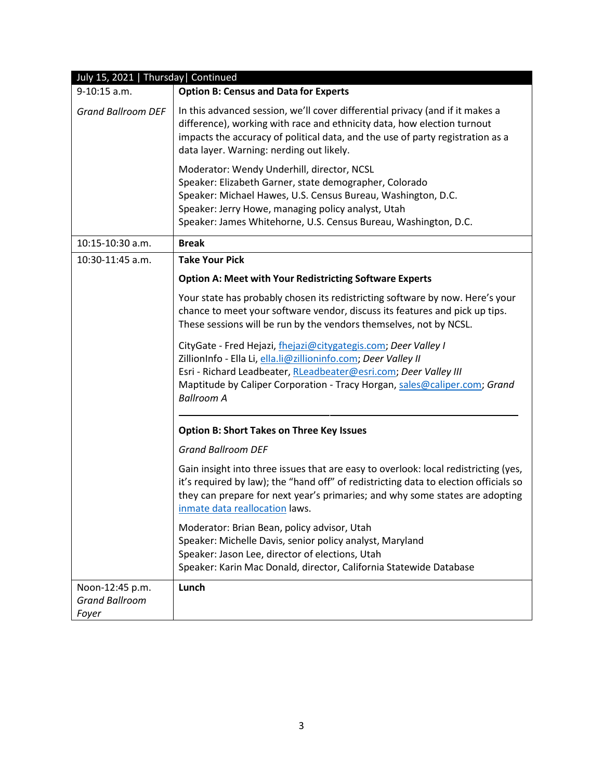| July 15, 2021   Thursday   Continued              |                                                                                                                                                                                                                                                                                                        |
|---------------------------------------------------|--------------------------------------------------------------------------------------------------------------------------------------------------------------------------------------------------------------------------------------------------------------------------------------------------------|
| 9-10:15 a.m.                                      | <b>Option B: Census and Data for Experts</b>                                                                                                                                                                                                                                                           |
| <b>Grand Ballroom DEF</b>                         | In this advanced session, we'll cover differential privacy (and if it makes a<br>difference), working with race and ethnicity data, how election turnout<br>impacts the accuracy of political data, and the use of party registration as a<br>data layer. Warning: nerding out likely.                 |
|                                                   | Moderator: Wendy Underhill, director, NCSL<br>Speaker: Elizabeth Garner, state demographer, Colorado<br>Speaker: Michael Hawes, U.S. Census Bureau, Washington, D.C.<br>Speaker: Jerry Howe, managing policy analyst, Utah<br>Speaker: James Whitehorne, U.S. Census Bureau, Washington, D.C.          |
| 10:15-10:30 a.m.                                  | <b>Break</b>                                                                                                                                                                                                                                                                                           |
| 10:30-11:45 a.m.                                  | <b>Take Your Pick</b>                                                                                                                                                                                                                                                                                  |
|                                                   | <b>Option A: Meet with Your Redistricting Software Experts</b>                                                                                                                                                                                                                                         |
|                                                   | Your state has probably chosen its redistricting software by now. Here's your<br>chance to meet your software vendor, discuss its features and pick up tips.<br>These sessions will be run by the vendors themselves, not by NCSL.                                                                     |
|                                                   | CityGate - Fred Hejazi, fhejazi@citygategis.com; Deer Valley I<br>ZillionInfo - Ella Li, ella.li@zillioninfo.com; Deer Valley II<br>Esri - Richard Leadbeater, RLeadbeater@esri.com; Deer Valley III<br>Maptitude by Caliper Corporation - Tracy Horgan, sales@caliper.com; Grand<br><b>Ballroom A</b> |
|                                                   | <b>Option B: Short Takes on Three Key Issues</b>                                                                                                                                                                                                                                                       |
|                                                   | <b>Grand Ballroom DEF</b>                                                                                                                                                                                                                                                                              |
|                                                   | Gain insight into three issues that are easy to overlook: local redistricting (yes,<br>it's required by law); the "hand off" of redistricting data to election officials so<br>they can prepare for next year's primaries; and why some states are adopting<br>inmate data reallocation laws.          |
|                                                   | Moderator: Brian Bean, policy advisor, Utah<br>Speaker: Michelle Davis, senior policy analyst, Maryland<br>Speaker: Jason Lee, director of elections, Utah<br>Speaker: Karin Mac Donald, director, California Statewide Database                                                                       |
| Noon-12:45 p.m.<br><b>Grand Ballroom</b><br>Foyer | Lunch                                                                                                                                                                                                                                                                                                  |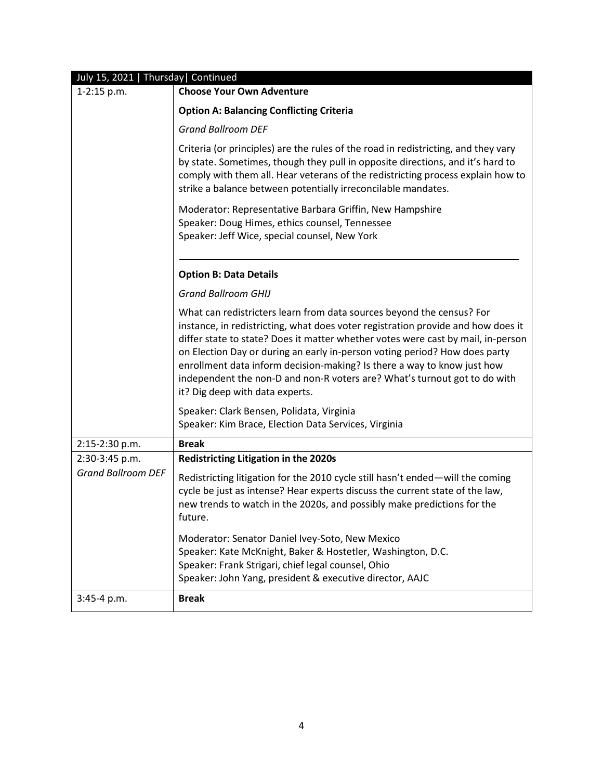| July 15, 2021   Thursday   Continued        |                                                                                                                                                                                                                                                                                                                                                                                                                                                                                                                        |
|---------------------------------------------|------------------------------------------------------------------------------------------------------------------------------------------------------------------------------------------------------------------------------------------------------------------------------------------------------------------------------------------------------------------------------------------------------------------------------------------------------------------------------------------------------------------------|
| 1-2:15 p.m.                                 | <b>Choose Your Own Adventure</b>                                                                                                                                                                                                                                                                                                                                                                                                                                                                                       |
|                                             | <b>Option A: Balancing Conflicting Criteria</b>                                                                                                                                                                                                                                                                                                                                                                                                                                                                        |
|                                             | <b>Grand Ballroom DEF</b>                                                                                                                                                                                                                                                                                                                                                                                                                                                                                              |
|                                             | Criteria (or principles) are the rules of the road in redistricting, and they vary<br>by state. Sometimes, though they pull in opposite directions, and it's hard to<br>comply with them all. Hear veterans of the redistricting process explain how to<br>strike a balance between potentially irreconcilable mandates.                                                                                                                                                                                               |
|                                             | Moderator: Representative Barbara Griffin, New Hampshire<br>Speaker: Doug Himes, ethics counsel, Tennessee<br>Speaker: Jeff Wice, special counsel, New York                                                                                                                                                                                                                                                                                                                                                            |
|                                             | <b>Option B: Data Details</b>                                                                                                                                                                                                                                                                                                                                                                                                                                                                                          |
|                                             | <b>Grand Ballroom GHIJ</b>                                                                                                                                                                                                                                                                                                                                                                                                                                                                                             |
|                                             | What can redistricters learn from data sources beyond the census? For<br>instance, in redistricting, what does voter registration provide and how does it<br>differ state to state? Does it matter whether votes were cast by mail, in-person<br>on Election Day or during an early in-person voting period? How does party<br>enrollment data inform decision-making? Is there a way to know just how<br>independent the non-D and non-R voters are? What's turnout got to do with<br>it? Dig deep with data experts. |
|                                             | Speaker: Clark Bensen, Polidata, Virginia<br>Speaker: Kim Brace, Election Data Services, Virginia                                                                                                                                                                                                                                                                                                                                                                                                                      |
| 2:15-2:30 p.m.                              | <b>Break</b>                                                                                                                                                                                                                                                                                                                                                                                                                                                                                                           |
| 2:30-3:45 p.m.<br><b>Grand Ballroom DEF</b> | <b>Redistricting Litigation in the 2020s</b>                                                                                                                                                                                                                                                                                                                                                                                                                                                                           |
|                                             | Redistricting litigation for the 2010 cycle still hasn't ended-will the coming<br>cycle be just as intense? Hear experts discuss the current state of the law,<br>new trends to watch in the 2020s, and possibly make predictions for the<br>tuture.                                                                                                                                                                                                                                                                   |
|                                             | Moderator: Senator Daniel Ivey-Soto, New Mexico<br>Speaker: Kate McKnight, Baker & Hostetler, Washington, D.C.<br>Speaker: Frank Strigari, chief legal counsel, Ohio<br>Speaker: John Yang, president & executive director, AAJC                                                                                                                                                                                                                                                                                       |
| $3:45-4 p.m.$                               | <b>Break</b>                                                                                                                                                                                                                                                                                                                                                                                                                                                                                                           |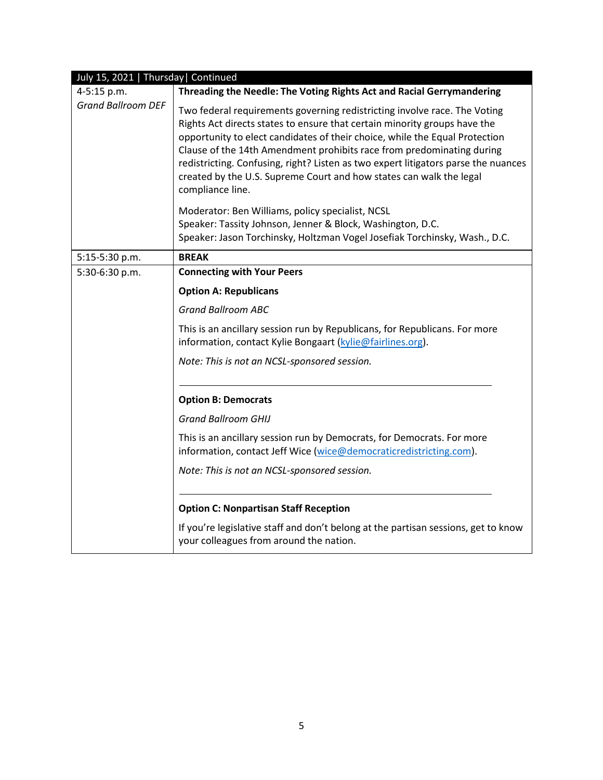| July 15, 2021   Thursday   Continued |                                                                                                                                                                                                                                                                                                                                                                                                                                                                                                 |
|--------------------------------------|-------------------------------------------------------------------------------------------------------------------------------------------------------------------------------------------------------------------------------------------------------------------------------------------------------------------------------------------------------------------------------------------------------------------------------------------------------------------------------------------------|
| 4-5:15 p.m.                          | Threading the Needle: The Voting Rights Act and Racial Gerrymandering                                                                                                                                                                                                                                                                                                                                                                                                                           |
| <b>Grand Ballroom DEF</b>            | Two federal requirements governing redistricting involve race. The Voting<br>Rights Act directs states to ensure that certain minority groups have the<br>opportunity to elect candidates of their choice, while the Equal Protection<br>Clause of the 14th Amendment prohibits race from predominating during<br>redistricting. Confusing, right? Listen as two expert litigators parse the nuances<br>created by the U.S. Supreme Court and how states can walk the legal<br>compliance line. |
|                                      | Moderator: Ben Williams, policy specialist, NCSL                                                                                                                                                                                                                                                                                                                                                                                                                                                |
|                                      | Speaker: Tassity Johnson, Jenner & Block, Washington, D.C.                                                                                                                                                                                                                                                                                                                                                                                                                                      |
|                                      | Speaker: Jason Torchinsky, Holtzman Vogel Josefiak Torchinsky, Wash., D.C.                                                                                                                                                                                                                                                                                                                                                                                                                      |
| 5:15-5:30 p.m.                       | <b>BREAK</b>                                                                                                                                                                                                                                                                                                                                                                                                                                                                                    |
| 5:30-6:30 p.m.                       | <b>Connecting with Your Peers</b>                                                                                                                                                                                                                                                                                                                                                                                                                                                               |
|                                      | <b>Option A: Republicans</b>                                                                                                                                                                                                                                                                                                                                                                                                                                                                    |
|                                      | <b>Grand Ballroom ABC</b>                                                                                                                                                                                                                                                                                                                                                                                                                                                                       |
|                                      | This is an ancillary session run by Republicans, for Republicans. For more<br>information, contact Kylie Bongaart (kylie@fairlines.org).                                                                                                                                                                                                                                                                                                                                                        |
|                                      | Note: This is not an NCSL-sponsored session.                                                                                                                                                                                                                                                                                                                                                                                                                                                    |
|                                      | <b>Option B: Democrats</b>                                                                                                                                                                                                                                                                                                                                                                                                                                                                      |
|                                      | <b>Grand Ballroom GHIJ</b>                                                                                                                                                                                                                                                                                                                                                                                                                                                                      |
|                                      | This is an ancillary session run by Democrats, for Democrats. For more<br>information, contact Jeff Wice (wice@democraticredistricting.com).                                                                                                                                                                                                                                                                                                                                                    |
|                                      | Note: This is not an NCSL-sponsored session.                                                                                                                                                                                                                                                                                                                                                                                                                                                    |
|                                      | <b>Option C: Nonpartisan Staff Reception</b>                                                                                                                                                                                                                                                                                                                                                                                                                                                    |
|                                      | If you're legislative staff and don't belong at the partisan sessions, get to know<br>your colleagues from around the nation.                                                                                                                                                                                                                                                                                                                                                                   |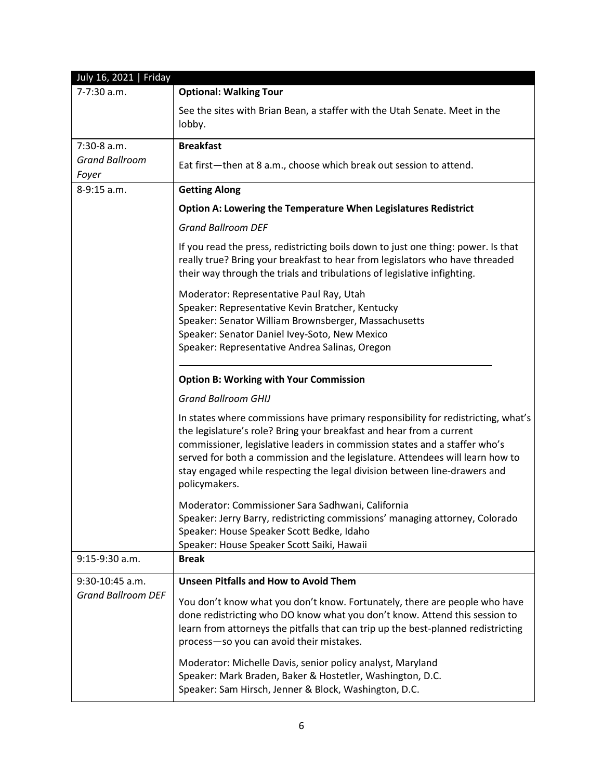| July 16, 2021   Friday                         |                                                                                                                                                                                                                                                                                                                                                                                                                        |
|------------------------------------------------|------------------------------------------------------------------------------------------------------------------------------------------------------------------------------------------------------------------------------------------------------------------------------------------------------------------------------------------------------------------------------------------------------------------------|
| 7-7:30 a.m.                                    | <b>Optional: Walking Tour</b>                                                                                                                                                                                                                                                                                                                                                                                          |
|                                                | See the sites with Brian Bean, a staffer with the Utah Senate. Meet in the<br>lobby.                                                                                                                                                                                                                                                                                                                                   |
| 7:30-8 a.m.                                    | <b>Breakfast</b>                                                                                                                                                                                                                                                                                                                                                                                                       |
| <b>Grand Ballroom</b><br>Foyer                 | Eat first-then at 8 a.m., choose which break out session to attend.                                                                                                                                                                                                                                                                                                                                                    |
| 8-9:15 a.m.                                    | <b>Getting Along</b>                                                                                                                                                                                                                                                                                                                                                                                                   |
|                                                | <b>Option A: Lowering the Temperature When Legislatures Redistrict</b>                                                                                                                                                                                                                                                                                                                                                 |
|                                                | <b>Grand Ballroom DEF</b>                                                                                                                                                                                                                                                                                                                                                                                              |
|                                                | If you read the press, redistricting boils down to just one thing: power. Is that<br>really true? Bring your breakfast to hear from legislators who have threaded<br>their way through the trials and tribulations of legislative infighting.                                                                                                                                                                          |
|                                                | Moderator: Representative Paul Ray, Utah<br>Speaker: Representative Kevin Bratcher, Kentucky<br>Speaker: Senator William Brownsberger, Massachusetts<br>Speaker: Senator Daniel Ivey-Soto, New Mexico<br>Speaker: Representative Andrea Salinas, Oregon                                                                                                                                                                |
|                                                | <b>Option B: Working with Your Commission</b>                                                                                                                                                                                                                                                                                                                                                                          |
|                                                | <b>Grand Ballroom GHIJ</b>                                                                                                                                                                                                                                                                                                                                                                                             |
|                                                | In states where commissions have primary responsibility for redistricting, what's<br>the legislature's role? Bring your breakfast and hear from a current<br>commissioner, legislative leaders in commission states and a staffer who's<br>served for both a commission and the legislature. Attendees will learn how to<br>stay engaged while respecting the legal division between line-drawers and<br>policymakers. |
|                                                | Moderator: Commissioner Sara Sadhwani, California<br>Speaker: Jerry Barry, redistricting commissions' managing attorney, Colorado<br>Speaker: House Speaker Scott Bedke, Idaho<br>Speaker: House Speaker Scott Saiki, Hawaii                                                                                                                                                                                           |
| 9:15-9:30 a.m.                                 | <b>Break</b>                                                                                                                                                                                                                                                                                                                                                                                                           |
| $9:30-10:45$ a.m.<br><b>Grand Ballroom DEF</b> | <b>Unseen Pitfalls and How to Avoid Them</b>                                                                                                                                                                                                                                                                                                                                                                           |
|                                                | You don't know what you don't know. Fortunately, there are people who have<br>done redistricting who DO know what you don't know. Attend this session to<br>learn from attorneys the pitfalls that can trip up the best-planned redistricting<br>process-so you can avoid their mistakes.                                                                                                                              |
|                                                | Moderator: Michelle Davis, senior policy analyst, Maryland<br>Speaker: Mark Braden, Baker & Hostetler, Washington, D.C.<br>Speaker: Sam Hirsch, Jenner & Block, Washington, D.C.                                                                                                                                                                                                                                       |